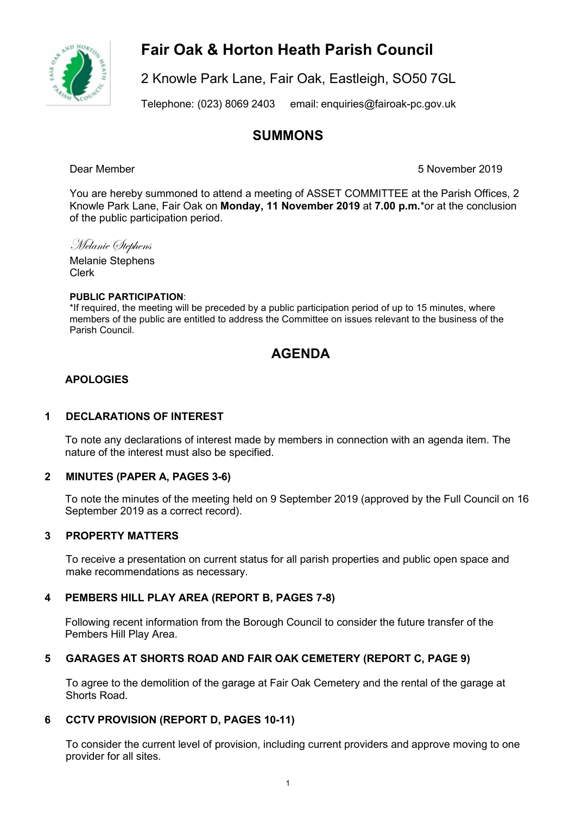

# **Fair Oak & Horton Heath Parish Council**

2 Knowle Park Lane, Fair Oak, Eastleigh, SO50 7GL

Telephone: (023) 8069 2403 email: [enquiries@fairoak-pc.gov.uk](mailto:enquiries@fairoak-pc.gov.uk)

# **SUMMONS**

Dear Member 5 November 2019

You are hereby summoned to attend a meeting of ASSET COMMITTEE at the Parish Offices, 2 Knowle Park Lane, Fair Oak on **Monday, 11 November 2019** at **7.00 p.m.**\*or at the conclusion of the public participation period.

Melanie Stephens

Melanie Stephens Clerk

#### **PUBLIC PARTICIPATION**:

\*If required, the meeting will be preceded by a public participation period of up to 15 minutes, where members of the public are entitled to address the Committee on issues relevant to the business of the Parish Council.

# **AGENDA**

### **APOLOGIES**

# **1 DECLARATIONS OF INTEREST**

To note any declarations of interest made by members in connection with an agenda item. The nature of the interest must also be specified.

# **2 MINUTES (PAPER A, PAGES 3-6)**

To note the minutes of the meeting held on 9 September 2019 (approved by the Full Council on 16 September 2019 as a correct record).

#### **3 PROPERTY MATTERS**

To receive a presentation on current status for all parish properties and public open space and make recommendations as necessary.

# **4 PEMBERS HILL PLAY AREA (REPORT B, PAGES 7-8)**

Following recent information from the Borough Council to consider the future transfer of the Pembers Hill Play Area.

# **5 GARAGES AT SHORTS ROAD AND FAIR OAK CEMETERY (REPORT C, PAGE 9)**

To agree to the demolition of the garage at Fair Oak Cemetery and the rental of the garage at Shorts Road.

#### **6 CCTV PROVISION (REPORT D, PAGES 10-11)**

To consider the current level of provision, including current providers and approve moving to one provider for all sites.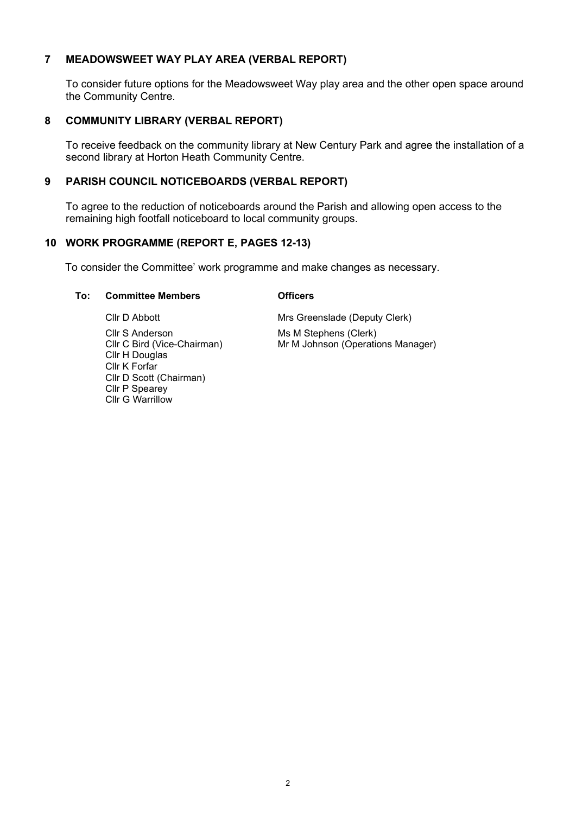#### **7 MEADOWSWEET WAY PLAY AREA (VERBAL REPORT)**

To consider future options for the Meadowsweet Way play area and the other open space around the Community Centre.

#### **8 COMMUNITY LIBRARY (VERBAL REPORT)**

To receive feedback on the community library at New Century Park and agree the installation of a second library at Horton Heath Community Centre.

#### **9 PARISH COUNCIL NOTICEBOARDS (VERBAL REPORT)**

To agree to the reduction of noticeboards around the Parish and allowing open access to the remaining high footfall noticeboard to local community groups.

#### **10 WORK PROGRAMME (REPORT E, PAGES 12-13)**

To consider the Committee' work programme and make changes as necessary.

#### **To: Committee Members Officers**

Cllr S Anderson Ms M Stephens (Clerk)<br>Cllr C Bird (Vice-Chairman) Mr M Johnson (Operation Cllr H Douglas Cllr K Forfar Cllr D Scott (Chairman) Cllr P Spearey Cllr G Warrillow

Cllr D Abbott **Mrs Greenslade (Deputy Clerk)** Mr M Johnson (Operations Manager)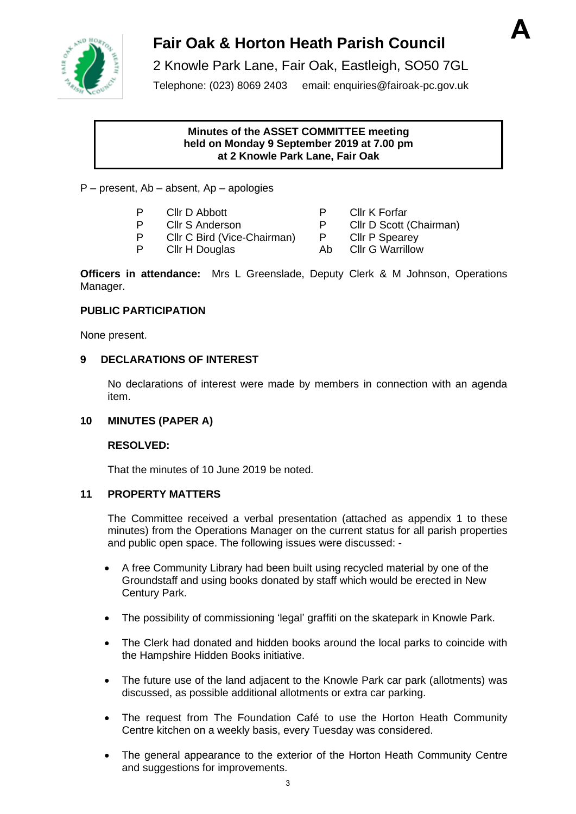

# **Fair Oak & Horton Heath Parish Council**



Telephone: (023) 8069 2403 email: enquiries@fairoak-pc.gov.uk

#### **Minutes of the ASSET COMMITTEE meeting held on Monday 9 September 2019 at 7.00 pm at 2 Knowle Park Lane, Fair Oak**

P – present, Ab – absent, Ap – apologies

- P Clir D Abbott P Clir K Forfar
- 
- 
- P Cllr S Anderson P Cllr D Scott (Chairman)

**A**

- P Cllr C Bird (Vice-Chairman) P Cllr P Spearey<br>P Cllr H Douglas Ab Cllr G Warrillow
	-

**Officers in attendance:** Mrs L Greenslade, Deputy Clerk & M Johnson, Operations Manager.

### **PUBLIC PARTICIPATION**

None present.

### **9 DECLARATIONS OF INTEREST**

No declarations of interest were made by members in connection with an agenda item.

#### **10 MINUTES (PAPER A)**

#### **RESOLVED:**

That the minutes of 10 June 2019 be noted.

#### **11 PROPERTY MATTERS**

The Committee received a verbal presentation (attached as appendix 1 to these minutes) from the Operations Manager on the current status for all parish properties and public open space. The following issues were discussed: -

- A free Community Library had been built using recycled material by one of the Groundstaff and using books donated by staff which would be erected in New Century Park.
- The possibility of commissioning 'legal' graffiti on the skatepark in Knowle Park.
- The Clerk had donated and hidden books around the local parks to coincide with the Hampshire Hidden Books initiative.
- The future use of the land adjacent to the Knowle Park car park (allotments) was discussed, as possible additional allotments or extra car parking.
- The request from The Foundation Café to use the Horton Heath Community Centre kitchen on a weekly basis, every Tuesday was considered.
- The general appearance to the exterior of the Horton Heath Community Centre and suggestions for improvements.
- 
- 
- 
- **P Cllr H Douglas Ab Cllr G Warrillow**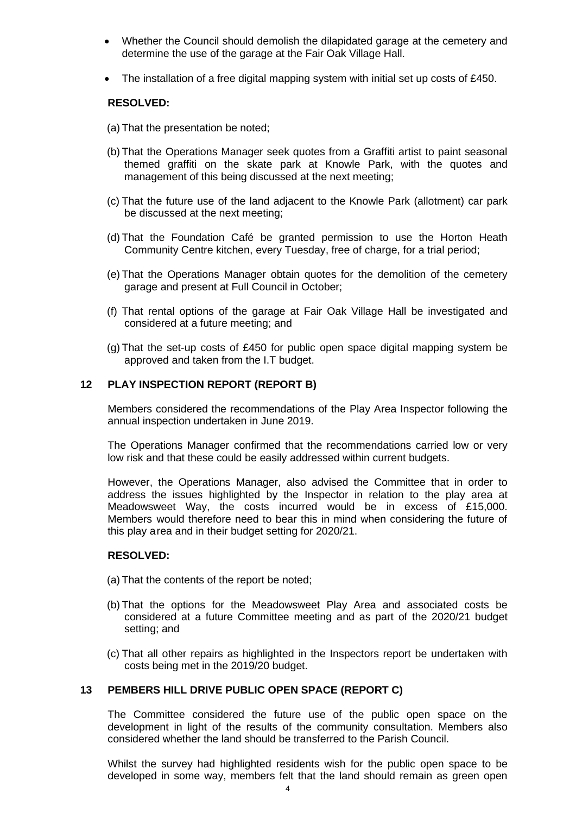- Whether the Council should demolish the dilapidated garage at the cemetery and determine the use of the garage at the Fair Oak Village Hall.
- The installation of a free digital mapping system with initial set up costs of £450.

#### **RESOLVED:**

- (a) That the presentation be noted;
- (b) That the Operations Manager seek quotes from a Graffiti artist to paint seasonal themed graffiti on the skate park at Knowle Park, with the quotes and management of this being discussed at the next meeting;
- (c) That the future use of the land adjacent to the Knowle Park (allotment) car park be discussed at the next meeting;
- (d) That the Foundation Café be granted permission to use the Horton Heath Community Centre kitchen, every Tuesday, free of charge, for a trial period;
- (e) That the Operations Manager obtain quotes for the demolition of the cemetery garage and present at Full Council in October;
- (f) That rental options of the garage at Fair Oak Village Hall be investigated and considered at a future meeting; and
- (g) That the set-up costs of £450 for public open space digital mapping system be approved and taken from the I.T budget.

#### **12 PLAY INSPECTION REPORT (REPORT B)**

Members considered the recommendations of the Play Area Inspector following the annual inspection undertaken in June 2019.

The Operations Manager confirmed that the recommendations carried low or very low risk and that these could be easily addressed within current budgets.

However, the Operations Manager, also advised the Committee that in order to address the issues highlighted by the Inspector in relation to the play area at Meadowsweet Way, the costs incurred would be in excess of £15,000. Members would therefore need to bear this in mind when considering the future of this play area and in their budget setting for 2020/21.

#### **RESOLVED:**

- (a) That the contents of the report be noted;
- (b) That the options for the Meadowsweet Play Area and associated costs be considered at a future Committee meeting and as part of the 2020/21 budget setting; and
- (c) That all other repairs as highlighted in the Inspectors report be undertaken with costs being met in the 2019/20 budget.

#### **13 PEMBERS HILL DRIVE PUBLIC OPEN SPACE (REPORT C)**

The Committee considered the future use of the public open space on the development in light of the results of the community consultation. Members also considered whether the land should be transferred to the Parish Council.

Whilst the survey had highlighted residents wish for the public open space to be developed in some way, members felt that the land should remain as green open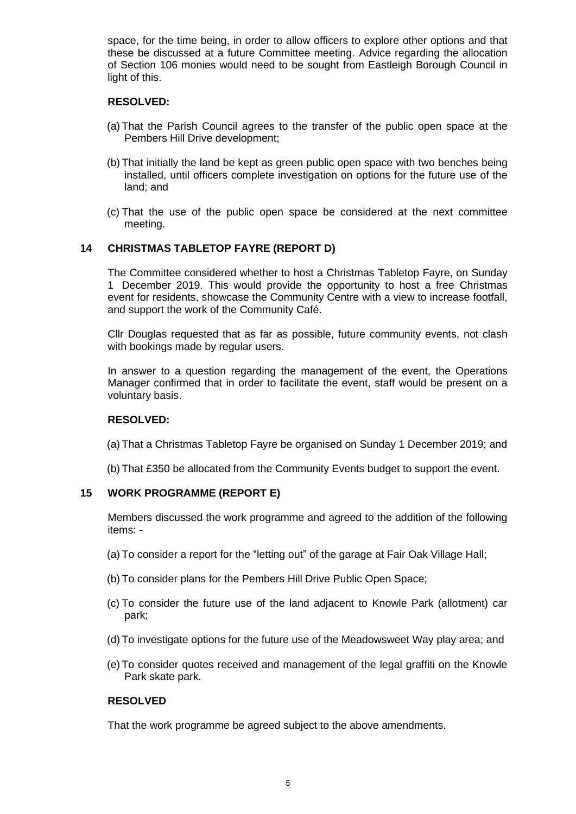space, for the time being, in order to allow officers to explore other options and that these be discussed at a future Committee meeting. Advice regarding the allocation of Section 106 monies would need to be sought from Eastleigh Borough Council in light of this.

#### **RESOLVED:**

- (a) That the Parish Council agrees to the transfer of the public open space at the Pembers Hill Drive development;
- (b) That initially the land be kept as green public open space with two benches being installed, until officers complete investigation on options for the future use of the land; and
- (c) That the use of the public open space be considered at the next committee meeting.

### **14 CHRISTMAS TABLETOP FAYRE (REPORT D)**

The Committee considered whether to host a Christmas Tabletop Fayre, on Sunday 1 December 2019. This would provide the opportunity to host a free Christmas event for residents, showcase the Community Centre with a view to increase footfall, and support the work of the Community Café.

Cllr Douglas requested that as far as possible, future community events, not clash with bookings made by regular users.

In answer to a question regarding the management of the event, the Operations Manager confirmed that in order to facilitate the event, staff would be present on a voluntary basis.

#### **RESOLVED:**

(a) That a Christmas Tabletop Fayre be organised on Sunday 1 December 2019; and

(b) That £350 be allocated from the Community Events budget to support the event.

#### **15 WORK PROGRAMME (REPORT E)**

Members discussed the work programme and agreed to the addition of the following items: -

- (a) To consider a report for the "letting out" of the garage at Fair Oak Village Hall;
- (b) To consider plans for the Pembers Hill Drive Public Open Space;
- (c) To consider the future use of the land adjacent to Knowle Park (allotment) car park;
- (d) To investigate options for the future use of the Meadowsweet Way play area; and
- (e) To consider quotes received and management of the legal graffiti on the Knowle Park skate park.

#### **RESOLVED**

That the work programme be agreed subject to the above amendments.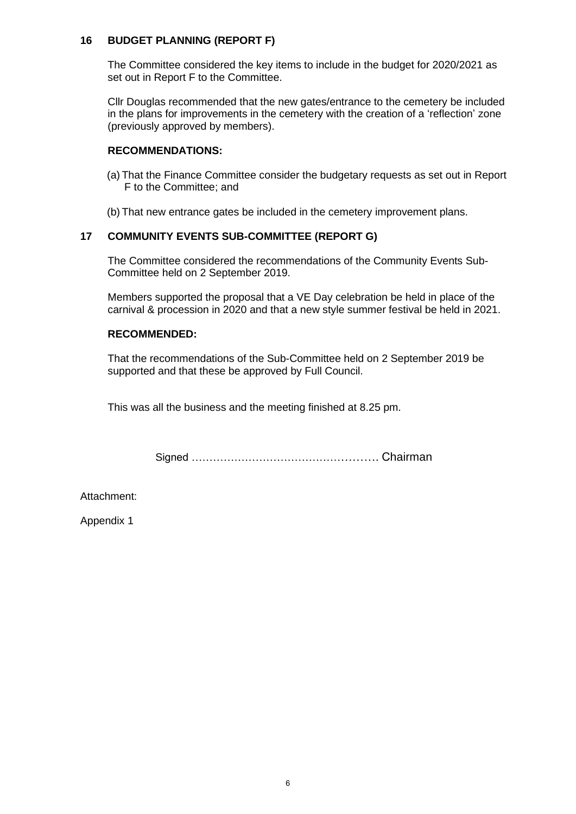#### **16 BUDGET PLANNING (REPORT F)**

The Committee considered the key items to include in the budget for 2020/2021 as set out in Report F to the Committee.

Cllr Douglas recommended that the new gates/entrance to the cemetery be included in the plans for improvements in the cemetery with the creation of a 'reflection' zone (previously approved by members).

#### **RECOMMENDATIONS:**

- (a) That the Finance Committee consider the budgetary requests as set out in Report F to the Committee; and
- (b) That new entrance gates be included in the cemetery improvement plans.

#### **17 COMMUNITY EVENTS SUB-COMMITTEE (REPORT G)**

The Committee considered the recommendations of the Community Events Sub-Committee held on 2 September 2019.

Members supported the proposal that a VE Day celebration be held in place of the carnival & procession in 2020 and that a new style summer festival be held in 2021.

#### **RECOMMENDED:**

That the recommendations of the Sub-Committee held on 2 September 2019 be supported and that these be approved by Full Council.

This was all the business and the meeting finished at 8.25 pm.

Signed ……………………………………………. Chairman

Attachment:

Appendix 1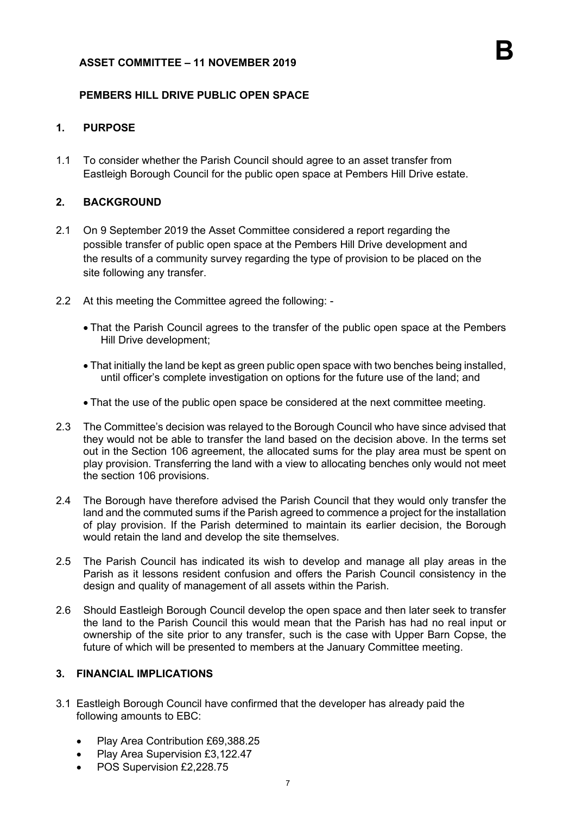### **ASSET COMMITTEE – 11 NOVEMBER 2019**

## **PEMBERS HILL DRIVE PUBLIC OPEN SPACE**

#### **1. PURPOSE**

1.1 To consider whether the Parish Council should agree to an asset transfer from Eastleigh Borough Council for the public open space at Pembers Hill Drive estate.

#### **2. BACKGROUND**

- 2.1 On 9 September 2019 the Asset Committee considered a report regarding the possible transfer of public open space at the Pembers Hill Drive development and the results of a community survey regarding the type of provision to be placed on the site following any transfer.
- 2.2 At this meeting the Committee agreed the following:
	- That the Parish Council agrees to the transfer of the public open space at the Pembers Hill Drive development;
	- That initially the land be kept as green public open space with two benches being installed, until officer's complete investigation on options for the future use of the land; and
	- That the use of the public open space be considered at the next committee meeting.
- 2.3 The Committee's decision was relayed to the Borough Council who have since advised that they would not be able to transfer the land based on the decision above. In the terms set out in the Section 106 agreement, the allocated sums for the play area must be spent on play provision. Transferring the land with a view to allocating benches only would not meet the section 106 provisions.
- 2.4 The Borough have therefore advised the Parish Council that they would only transfer the land and the commuted sums if the Parish agreed to commence a project for the installation of play provision. If the Parish determined to maintain its earlier decision, the Borough would retain the land and develop the site themselves.
- 2.5 The Parish Council has indicated its wish to develop and manage all play areas in the Parish as it lessons resident confusion and offers the Parish Council consistency in the design and quality of management of all assets within the Parish.
- 2.6 Should Eastleigh Borough Council develop the open space and then later seek to transfer the land to the Parish Council this would mean that the Parish has had no real input or ownership of the site prior to any transfer, such is the case with Upper Barn Copse, the future of which will be presented to members at the January Committee meeting.

# **3. FINANCIAL IMPLICATIONS**

- 3.1 Eastleigh Borough Council have confirmed that the developer has already paid the following amounts to EBC:
	- Play Area Contribution £69,388.25
	- Play Area Supervision £3,122.47
	- POS Supervision £2,228.75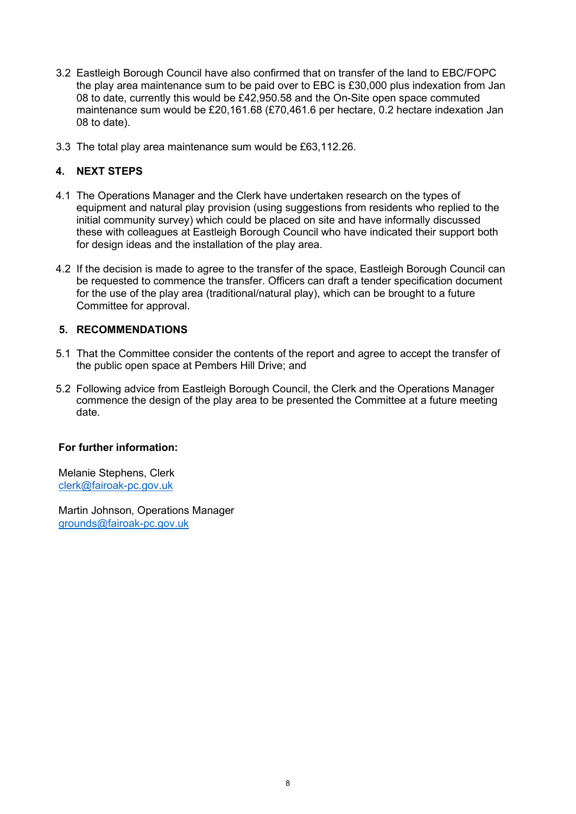- 3.2 Eastleigh Borough Council have also confirmed that on transfer of the land to EBC/FOPC the play area maintenance sum to be paid over to EBC is £30,000 plus indexation from Jan 08 to date, currently this would be £42,950.58 and the On-Site open space commuted maintenance sum would be £20,161.68 (£70,461.6 per hectare, 0.2 hectare indexation Jan 08 to date).
- 3.3 The total play area maintenance sum would be £63,112.26.

# **4. NEXT STEPS**

- 4.1 The Operations Manager and the Clerk have undertaken research on the types of equipment and natural play provision (using suggestions from residents who replied to the initial community survey) which could be placed on site and have informally discussed these with colleagues at Eastleigh Borough Council who have indicated their support both for design ideas and the installation of the play area.
- 4.2 If the decision is made to agree to the transfer of the space, Eastleigh Borough Council can be requested to commence the transfer. Officers can draft a tender specification document for the use of the play area (traditional/natural play), which can be brought to a future Committee for approval.

#### **5. RECOMMENDATIONS**

- 5.1 That the Committee consider the contents of the report and agree to accept the transfer of the public open space at Pembers Hill Drive; and
- 5.2 Following advice from Eastleigh Borough Council, the Clerk and the Operations Manager commence the design of the play area to be presented the Committee at a future meeting date.

#### **For further information:**

Melanie Stephens, Clerk [clerk@fairoak-pc.gov.uk](mailto:clerk@fairoak-pc.gov.uk)

Martin Johnson, Operations Manager [grounds@fairoak-pc.gov.uk](mailto:grounds@fairoak-pc.gov.uk)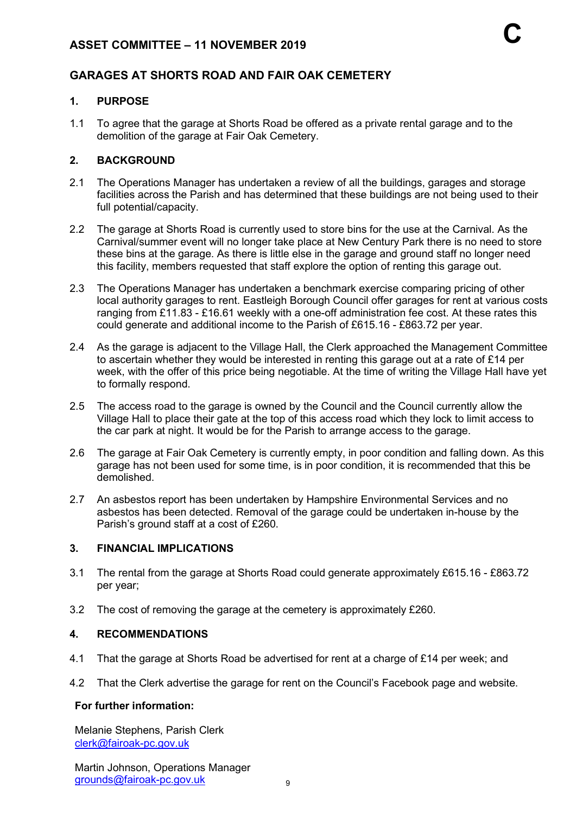# **GARAGES AT SHORTS ROAD AND FAIR OAK CEMETERY**

### **1. PURPOSE**

1.1 To agree that the garage at Shorts Road be offered as a private rental garage and to the demolition of the garage at Fair Oak Cemetery.

## **2. BACKGROUND**

- 2.1 The Operations Manager has undertaken a review of all the buildings, garages and storage facilities across the Parish and has determined that these buildings are not being used to their full potential/capacity.
- 2.2 The garage at Shorts Road is currently used to store bins for the use at the Carnival. As the Carnival/summer event will no longer take place at New Century Park there is no need to store these bins at the garage. As there is little else in the garage and ground staff no longer need this facility, members requested that staff explore the option of renting this garage out.
- 2.3 The Operations Manager has undertaken a benchmark exercise comparing pricing of other local authority garages to rent. Eastleigh Borough Council offer garages for rent at various costs ranging from £11.83 - £16.61 weekly with a one-off administration fee cost. At these rates this could generate and additional income to the Parish of £615.16 - £863.72 per year.
- 2.4 As the garage is adjacent to the Village Hall, the Clerk approached the Management Committee to ascertain whether they would be interested in renting this garage out at a rate of £14 per week, with the offer of this price being negotiable. At the time of writing the Village Hall have yet to formally respond.
- 2.5 The access road to the garage is owned by the Council and the Council currently allow the Village Hall to place their gate at the top of this access road which they lock to limit access to the car park at night. It would be for the Parish to arrange access to the garage.
- 2.6 The garage at Fair Oak Cemetery is currently empty, in poor condition and falling down. As this garage has not been used for some time, is in poor condition, it is recommended that this be demolished.
- 2.7 An asbestos report has been undertaken by Hampshire Environmental Services and no asbestos has been detected. Removal of the garage could be undertaken in-house by the Parish's ground staff at a cost of £260.

#### **3. FINANCIAL IMPLICATIONS**

- 3.1 The rental from the garage at Shorts Road could generate approximately £615.16 £863.72 per year;
- 3.2 The cost of removing the garage at the cemetery is approximately £260.

### **4. RECOMMENDATIONS**

- 4.1 That the garage at Shorts Road be advertised for rent at a charge of £14 per week; and
- 4.2 That the Clerk advertise the garage for rent on the Council's Facebook page and website.

#### **For further information:**

Melanie Stephens, Parish Clerk [clerk@fairoak-pc.gov.uk](mailto:clerk@fairoak-pc.gov.uk)

Martin Johnson, Operations Manager [grounds@fairoak-pc.gov.uk](mailto:grounds@fairoak-pc.gov.uk)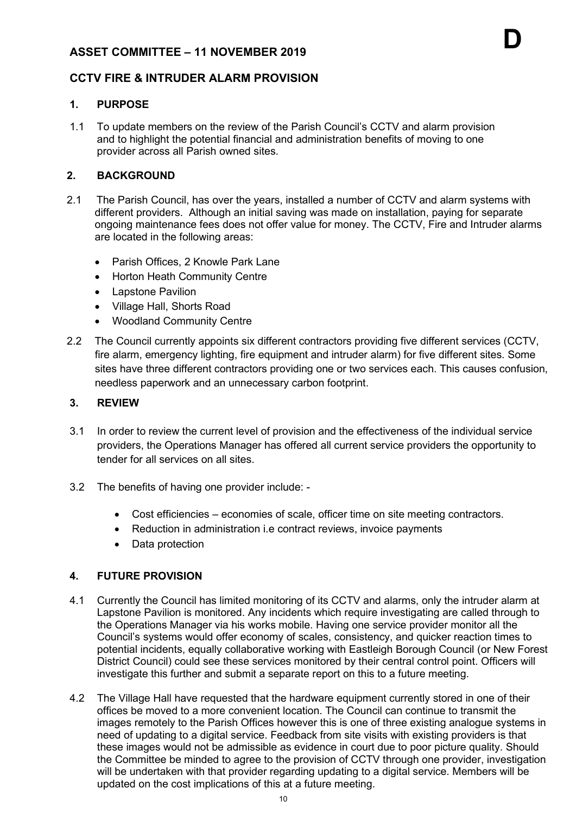# **ASSET COMMITTEE – 11 NOVEMBER 2019**

# **CCTV FIRE & INTRUDER ALARM PROVISION**

# **1. PURPOSE**

1.1 To update members on the review of the Parish Council's CCTV and alarm provision and to highlight the potential financial and administration benefits of moving to one provider across all Parish owned sites.

# **2. BACKGROUND**

- 2.1 The Parish Council, has over the years, installed a number of CCTV and alarm systems with different providers. Although an initial saving was made on installation, paying for separate ongoing maintenance fees does not offer value for money. The CCTV, Fire and Intruder alarms are located in the following areas:
	- Parish Offices, 2 Knowle Park Lane
	- Horton Heath Community Centre
	- Lapstone Pavilion
	- Village Hall, Shorts Road
	- Woodland Community Centre
- 2.2 The Council currently appoints six different contractors providing five different services (CCTV, fire alarm, emergency lighting, fire equipment and intruder alarm) for five different sites. Some sites have three different contractors providing one or two services each. This causes confusion, needless paperwork and an unnecessary carbon footprint.

# **3. REVIEW**

- 3.1 In order to review the current level of provision and the effectiveness of the individual service providers, the Operations Manager has offered all current service providers the opportunity to tender for all services on all sites.
- 3.2 The benefits of having one provider include:
	- Cost efficiencies economies of scale, officer time on site meeting contractors.
	- Reduction in administration i.e contract reviews, invoice payments
	- Data protection

# **4. FUTURE PROVISION**

- 4.1 Currently the Council has limited monitoring of its CCTV and alarms, only the intruder alarm at Lapstone Pavilion is monitored. Any incidents which require investigating are called through to the Operations Manager via his works mobile. Having one service provider monitor all the Council's systems would offer economy of scales, consistency, and quicker reaction times to potential incidents, equally collaborative working with Eastleigh Borough Council (or New Forest District Council) could see these services monitored by their central control point. Officers will investigate this further and submit a separate report on this to a future meeting.
- 4.2 The Village Hall have requested that the hardware equipment currently stored in one of their offices be moved to a more convenient location. The Council can continue to transmit the images remotely to the Parish Offices however this is one of three existing analogue systems in need of updating to a digital service. Feedback from site visits with existing providers is that these images would not be admissible as evidence in court due to poor picture quality. Should the Committee be minded to agree to the provision of CCTV through one provider, investigation will be undertaken with that provider regarding updating to a digital service. Members will be updated on the cost implications of this at a future meeting.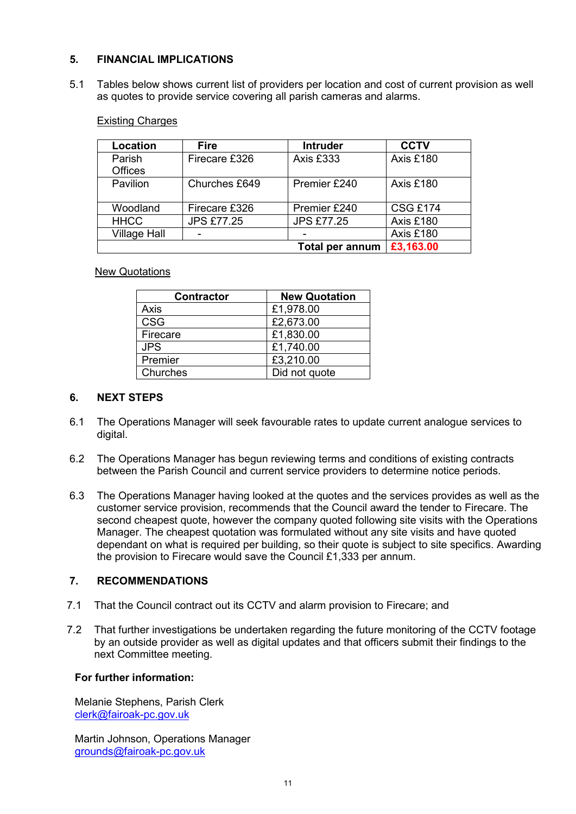# **5. FINANCIAL IMPLICATIONS**

5.1 Tables below shows current list of providers per location and cost of current provision as well as quotes to provide service covering all parish cameras and alarms.

#### Existing Charges

| Location            | <b>Fire</b>       | <b>Intruder</b>   | <b>CCTV</b>     |
|---------------------|-------------------|-------------------|-----------------|
| Parish              | Firecare £326     | Axis £333         | Axis £180       |
| <b>Offices</b>      |                   |                   |                 |
| Pavilion            | Churches £649     | Premier £240      | Axis £180       |
|                     |                   |                   |                 |
| Woodland            | Firecare £326     | Premier £240      | <b>CSG £174</b> |
| <b>HHCC</b>         | <b>JPS £77.25</b> | <b>JPS £77.25</b> | Axis £180       |
| <b>Village Hall</b> | -                 |                   | Axis £180       |
|                     | £3,163.00         |                   |                 |

#### New Quotations

| <b>Contractor</b> | <b>New Quotation</b> |  |
|-------------------|----------------------|--|
| Axis              | £1,978.00            |  |
| <b>CSG</b>        | £2,673.00            |  |
| Firecare          | £1,830.00            |  |
| <b>JPS</b>        | £1,740.00            |  |
| Premier           | £3,210.00            |  |
| Churches          | Did not quote        |  |

#### **6. NEXT STEPS**

- 6.1 The Operations Manager will seek favourable rates to update current analogue services to digital.
- 6.2 The Operations Manager has begun reviewing terms and conditions of existing contracts between the Parish Council and current service providers to determine notice periods.
- 6.3 The Operations Manager having looked at the quotes and the services provides as well as the customer service provision, recommends that the Council award the tender to Firecare. The second cheapest quote, however the company quoted following site visits with the Operations Manager. The cheapest quotation was formulated without any site visits and have quoted dependant on what is required per building, so their quote is subject to site specifics. Awarding the provision to Firecare would save the Council £1,333 per annum.

#### **7. RECOMMENDATIONS**

- 7.1 That the Council contract out its CCTV and alarm provision to Firecare; and
- 7.2 That further investigations be undertaken regarding the future monitoring of the CCTV footage by an outside provider as well as digital updates and that officers submit their findings to the next Committee meeting.

#### **For further information:**

Melanie Stephens, Parish Clerk [clerk@fairoak-pc.gov.uk](mailto:clerk@fairoak-pc.gov.uk)

Martin Johnson, Operations Manager [grounds@fairoak-pc.gov.uk](mailto:grounds@fairoak-pc.gov.uk)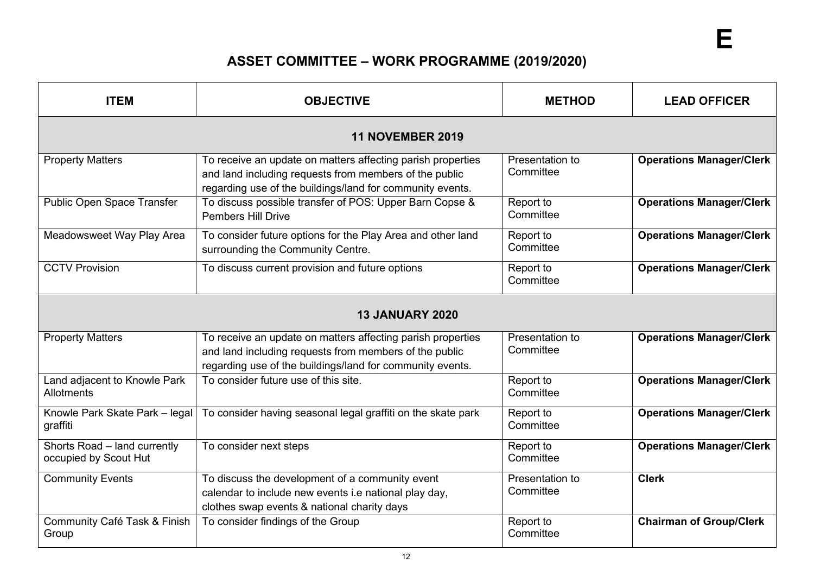# **ASSET COMMITTEE – WORK PROGRAMME (2019/2020)**

| <b>ITEM</b>                                           | <b>OBJECTIVE</b>                                                                                                                                                                   | <b>METHOD</b>                | <b>LEAD OFFICER</b>             |  |  |  |
|-------------------------------------------------------|------------------------------------------------------------------------------------------------------------------------------------------------------------------------------------|------------------------------|---------------------------------|--|--|--|
| <b>11 NOVEMBER 2019</b>                               |                                                                                                                                                                                    |                              |                                 |  |  |  |
| <b>Property Matters</b>                               | To receive an update on matters affecting parish properties<br>and land including requests from members of the public<br>regarding use of the buildings/land for community events. | Presentation to<br>Committee | <b>Operations Manager/Clerk</b> |  |  |  |
| Public Open Space Transfer                            | To discuss possible transfer of POS: Upper Barn Copse &<br><b>Pembers Hill Drive</b>                                                                                               | Report to<br>Committee       | <b>Operations Manager/Clerk</b> |  |  |  |
| Meadowsweet Way Play Area                             | To consider future options for the Play Area and other land<br>surrounding the Community Centre.                                                                                   | Report to<br>Committee       | <b>Operations Manager/Clerk</b> |  |  |  |
| <b>CCTV Provision</b>                                 | To discuss current provision and future options                                                                                                                                    | Report to<br>Committee       | <b>Operations Manager/Clerk</b> |  |  |  |
| <b>13 JANUARY 2020</b>                                |                                                                                                                                                                                    |                              |                                 |  |  |  |
| <b>Property Matters</b>                               | To receive an update on matters affecting parish properties<br>and land including requests from members of the public<br>regarding use of the buildings/land for community events. | Presentation to<br>Committee | <b>Operations Manager/Clerk</b> |  |  |  |
| Land adjacent to Knowle Park<br>Allotments            | To consider future use of this site.                                                                                                                                               | Report to<br>Committee       | <b>Operations Manager/Clerk</b> |  |  |  |
| Knowle Park Skate Park - legal<br>graffiti            | To consider having seasonal legal graffiti on the skate park                                                                                                                       | Report to<br>Committee       | <b>Operations Manager/Clerk</b> |  |  |  |
| Shorts Road - land currently<br>occupied by Scout Hut | To consider next steps                                                                                                                                                             | Report to<br>Committee       | <b>Operations Manager/Clerk</b> |  |  |  |
| <b>Community Events</b>                               | To discuss the development of a community event<br>calendar to include new events i.e national play day,<br>clothes swap events & national charity days                            | Presentation to<br>Committee | <b>Clerk</b>                    |  |  |  |
| Community Café Task & Finish<br>Group                 | To consider findings of the Group                                                                                                                                                  | Report to<br>Committee       | <b>Chairman of Group/Clerk</b>  |  |  |  |